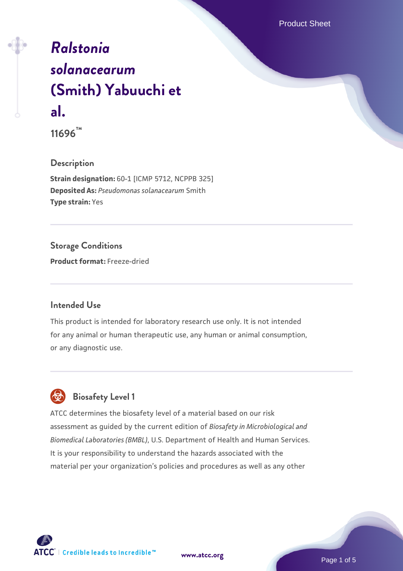# *[Ralstonia](https://www.atcc.org/products/11696) [solanacearum](https://www.atcc.org/products/11696)* **[\(Smith\) Yabuuchi et](https://www.atcc.org/products/11696) [al.](https://www.atcc.org/products/11696)**

**11696™**

**Description**

**Strain designation:** 60-1 [ICMP 5712, NCPPB 325] **Deposited As:** *Pseudomonas solanacearum* Smith **Type strain:** Yes

**Storage Conditions**

**Product format:** Freeze-dried

#### **Intended Use**

This product is intended for laboratory research use only. It is not intended for any animal or human therapeutic use, any human or animal consumption, or any diagnostic use.



ATCC determines the biosafety level of a material based on our risk assessment as guided by the current edition of *Biosafety in Microbiological and Biomedical Laboratories (BMBL)*, U.S. Department of Health and Human Services. It is your responsibility to understand the hazards associated with the material per your organization's policies and procedures as well as any other

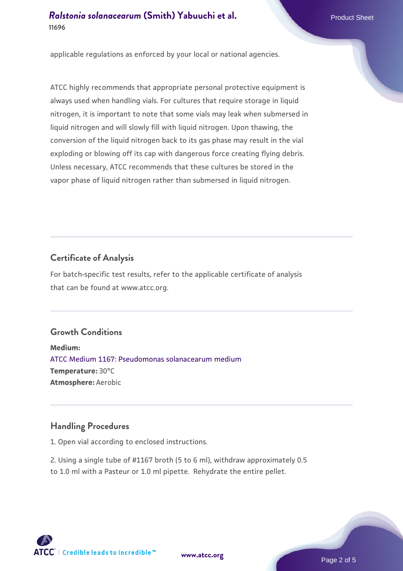#### *[Ralstonia solanacearum](https://www.atcc.org/products/11696)* **[\(Smith\) Yabuuchi et al.](https://www.atcc.org/products/11696) Product Sheet Product Sheet 11696**

applicable regulations as enforced by your local or national agencies.

ATCC highly recommends that appropriate personal protective equipment is always used when handling vials. For cultures that require storage in liquid nitrogen, it is important to note that some vials may leak when submersed in liquid nitrogen and will slowly fill with liquid nitrogen. Upon thawing, the conversion of the liquid nitrogen back to its gas phase may result in the vial exploding or blowing off its cap with dangerous force creating flying debris. Unless necessary, ATCC recommends that these cultures be stored in the vapor phase of liquid nitrogen rather than submersed in liquid nitrogen.

# **Certificate of Analysis**

For batch-specific test results, refer to the applicable certificate of analysis that can be found at www.atcc.org.

## **Growth Conditions**

**Medium:**  [ATCC Medium 1167: Pseudomonas solanacearum medium](https://www.atcc.org/-/media/product-assets/documents/microbial-media-formulations/1/1/6/7/atcc-medium-1167.pdf?rev=248dd103866d40fc8227031e7feb1b49) **Temperature:** 30°C **Atmosphere:** Aerobic

## **Handling Procedures**

1. Open vial according to enclosed instructions.

2. Using a single tube of #1167 broth (5 to 6 ml), withdraw approximately 0.5 to 1.0 ml with a Pasteur or 1.0 ml pipette. Rehydrate the entire pellet.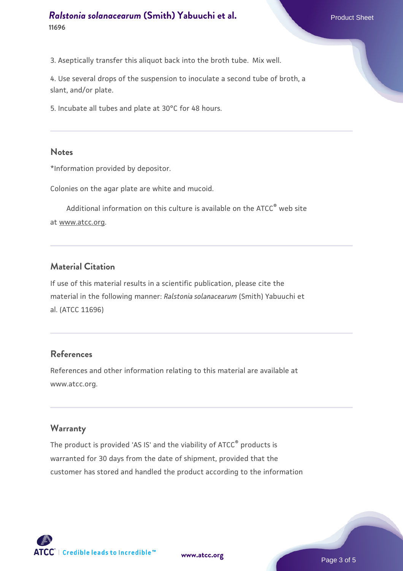## *[Ralstonia solanacearum](https://www.atcc.org/products/11696)* **[\(Smith\) Yabuuchi et al.](https://www.atcc.org/products/11696) Product Sheet Product Sheet 11696**

3. Aseptically transfer this aliquot back into the broth tube. Mix well.

4. Use several drops of the suspension to inoculate a second tube of broth, a slant, and/or plate.

5. Incubate all tubes and plate at 30°C for 48 hours.

#### **Notes**

\*Information provided by depositor.

Colonies on the agar plate are white and mucoid.

Additional information on this culture is available on the ATCC<sup>®</sup> web site at www.atcc.org.

#### **Material Citation**

If use of this material results in a scientific publication, please cite the material in the following manner: *Ralstonia solanacearum* (Smith) Yabuuchi et al. (ATCC 11696)

## **References**

References and other information relating to this material are available at www.atcc.org.

#### **Warranty**

The product is provided 'AS IS' and the viability of ATCC® products is warranted for 30 days from the date of shipment, provided that the customer has stored and handled the product according to the information

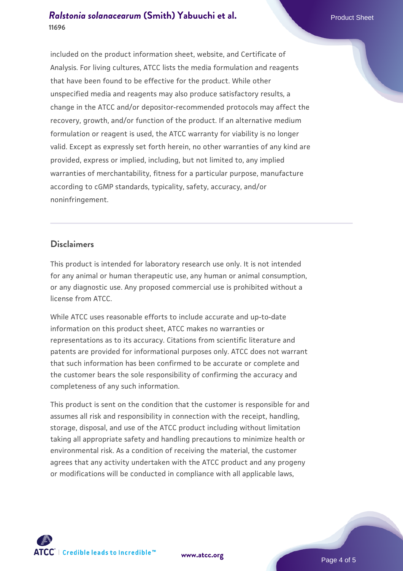## *[Ralstonia solanacearum](https://www.atcc.org/products/11696)* **[\(Smith\) Yabuuchi et al.](https://www.atcc.org/products/11696) Product Sheet Product Sheet 11696**

included on the product information sheet, website, and Certificate of Analysis. For living cultures, ATCC lists the media formulation and reagents that have been found to be effective for the product. While other unspecified media and reagents may also produce satisfactory results, a change in the ATCC and/or depositor-recommended protocols may affect the recovery, growth, and/or function of the product. If an alternative medium formulation or reagent is used, the ATCC warranty for viability is no longer valid. Except as expressly set forth herein, no other warranties of any kind are provided, express or implied, including, but not limited to, any implied warranties of merchantability, fitness for a particular purpose, manufacture according to cGMP standards, typicality, safety, accuracy, and/or noninfringement.

#### **Disclaimers**

This product is intended for laboratory research use only. It is not intended for any animal or human therapeutic use, any human or animal consumption, or any diagnostic use. Any proposed commercial use is prohibited without a license from ATCC.

While ATCC uses reasonable efforts to include accurate and up-to-date information on this product sheet, ATCC makes no warranties or representations as to its accuracy. Citations from scientific literature and patents are provided for informational purposes only. ATCC does not warrant that such information has been confirmed to be accurate or complete and the customer bears the sole responsibility of confirming the accuracy and completeness of any such information.

This product is sent on the condition that the customer is responsible for and assumes all risk and responsibility in connection with the receipt, handling, storage, disposal, and use of the ATCC product including without limitation taking all appropriate safety and handling precautions to minimize health or environmental risk. As a condition of receiving the material, the customer agrees that any activity undertaken with the ATCC product and any progeny or modifications will be conducted in compliance with all applicable laws,



**[www.atcc.org](http://www.atcc.org)**

Page 4 of 5